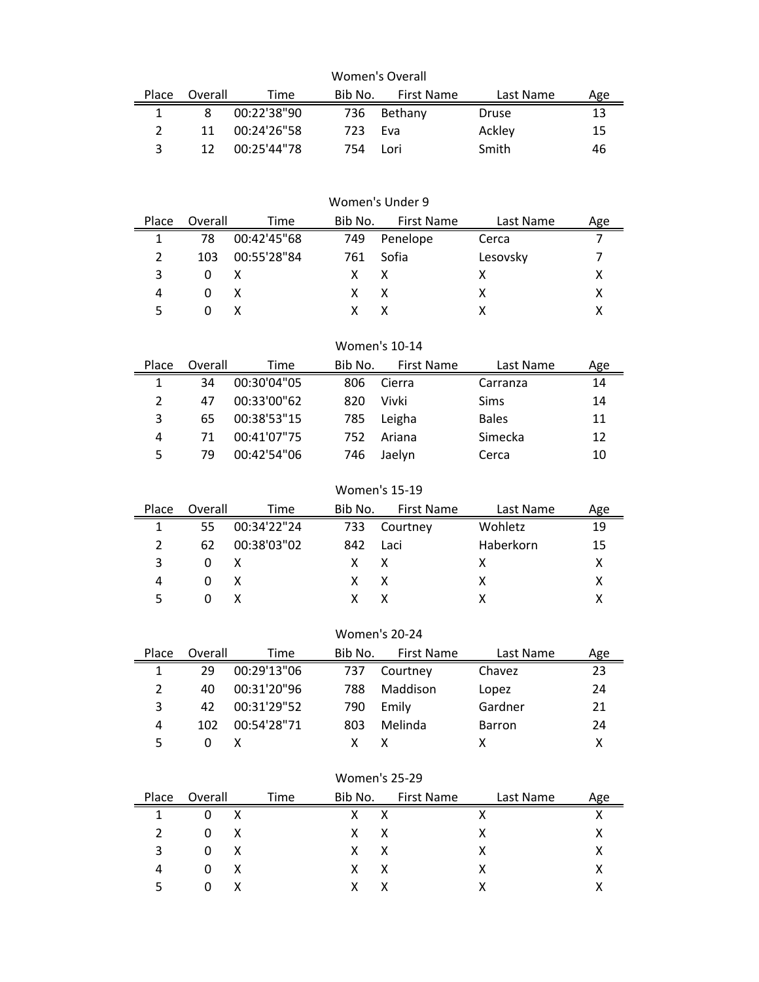| Women's Overall |         |              |         |            |           |     |  |  |
|-----------------|---------|--------------|---------|------------|-----------|-----|--|--|
| Place           | Overall | Time         | Bib No. | First Name | Last Name | Age |  |  |
|                 | 8       | 00:22'38"90  | 736     | Bethany    | Druse     | 13  |  |  |
|                 | 11      | 00:24'26"58  | 723.    | - Fva      | Ackley    | 15  |  |  |
|                 | 12      | 00:25'44''78 | 754     | Lori       | Smith     | 46  |  |  |

|       |          |             |         | Women's Under 9   |           |     |
|-------|----------|-------------|---------|-------------------|-----------|-----|
| Place | Overall  | Time        | Bib No. | <b>First Name</b> | Last Name | Age |
| 1     | 78       | 00:42'45"68 | 749     | Penelope          | Cerca     |     |
| 2     | 103      | 00:55'28"84 | 761     | Sofia             | Lesovsky  |     |
| 3     | 0        | X           | X.      | X                 | х         |     |
| 4     | $\Omega$ | X           | x       | X                 | x         |     |
|       | $\theta$ | X           |         | x                 |           |     |

## Women's 10-14

|    | Time        |         | <b>First Name</b> | Last Name    | Age |
|----|-------------|---------|-------------------|--------------|-----|
| 34 | 00:30'04"05 | 806     | Cierra            | Carranza     | 14  |
| 47 | 00:33'00"62 | 820     | Vivki             | <b>Sims</b>  | 14  |
| 65 | 00:38'53"15 | 785     | Leigha            | <b>Bales</b> | 11  |
| 71 | 00:41'07"75 | 752     | Ariana            | Simecka      | 12  |
| 79 | 00:42'54"06 | 746     | Jaelyn            | Cerca        | 10  |
|    |             | Overall |                   | Bib No.      |     |

## Women's 15-19

| Place | Overall      | Time        | Bib No.    | <b>First Name</b> | Last Name | Age |
|-------|--------------|-------------|------------|-------------------|-----------|-----|
|       | 55           | 00:34'22"24 | 733        | Courtney          | Wohletz   | 19  |
|       | 62           | 00:38'03"02 | 842 Laci   |                   | Haberkorn | 15  |
| ર     | $\Omega$     |             | $x \times$ |                   |           |     |
|       | $\Omega$     | X           | $x \times$ |                   |           |     |
|       | $\mathbf{U}$ |             |            |                   |           |     |

## Women's 20-24

| Place | Overall | Time        | Bib No. | <b>First Name</b> | Last Name | Age |
|-------|---------|-------------|---------|-------------------|-----------|-----|
|       | 29      | 00:29'13"06 | 737     | Courtney          | Chavez    | 23  |
|       | 40      | 00:31'20"96 | 788     | Maddison          | Lopez     | 24  |
| 3     | 42      | 00:31'29"52 | 790     | Emily             | Gardner   | 21  |
| 4     | 102     | 00:54'28"71 | 803     | Melinda           | Barron    | 24  |
|       |         |             |         |                   |           |     |

# Women's 25-29

| Place         | Overall  |   | Time | Bib No.    |              | First Name |   | Last Name |  |
|---------------|----------|---|------|------------|--------------|------------|---|-----------|--|
|               | 0        | X |      | X          | x            |            | χ |           |  |
| $\mathcal{P}$ | 0        | X |      | $x \times$ |              |            | x |           |  |
| 3             | 0        | X |      | X.         | $\mathsf{X}$ |            | x |           |  |
| 4             | 0        | X |      | X.         | X            |            | х |           |  |
| Б.            | $\Omega$ |   |      | x.         |              |            |   |           |  |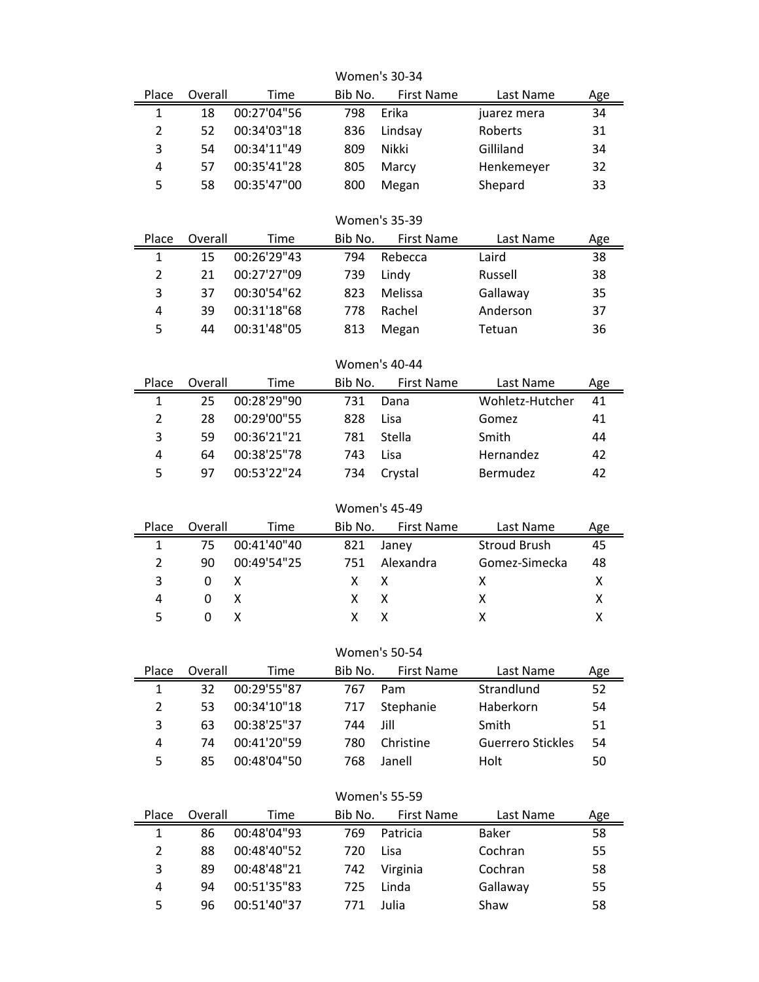| Place<br>$\mathbf 1$    | <b>Women's 30-34</b> |                            |            |                      |                          |          |  |
|-------------------------|----------------------|----------------------------|------------|----------------------|--------------------------|----------|--|
|                         | Overall              | Time                       | Bib No.    | <b>First Name</b>    | Last Name                | Age      |  |
|                         | 18                   | 00:27'04"56                | 798        | Erika                | juarez mera              | 34       |  |
| $\overline{2}$          | 52                   | 00:34'03"18                | 836        | Lindsay              | Roberts                  | 31       |  |
| 3                       | 00:34'11"49<br>54    |                            | 809        | Nikki                | Gilliland                | 34       |  |
| 4                       | 57                   | 00:35'41"28                | 805        | Marcy                | Henkemeyer               | 32       |  |
| 5                       | 58                   | 00:35'47"00                | 800        | Megan                | Shepard                  | 33       |  |
|                         |                      |                            |            | <b>Women's 35-39</b> |                          |          |  |
| Place                   | Overall              | Time                       | Bib No.    | <b>First Name</b>    | Last Name                | Age      |  |
| $\mathbf{1}$            | 15                   | 00:26'29"43                | 794        | Rebecca              | Laird                    | 38       |  |
| $\overline{2}$          | 21                   | 00:27'27"09                | 739        | Lindy                | Russell                  | 38       |  |
| 3                       | 37                   | 00:30'54"62                | 823        | Melissa              | Gallaway                 | 35       |  |
| 4                       | 39                   | 00:31'18"68                | 778        | Rachel               | Anderson                 | 37       |  |
| 5                       | 44                   | 00:31'48"05                | 813        | Megan                | Tetuan                   | 36       |  |
|                         |                      |                            |            | <b>Women's 40-44</b> |                          |          |  |
| Place                   | Overall              | Time                       | Bib No.    | <b>First Name</b>    | Last Name                | Age      |  |
| $\mathbf{1}$            | 25                   | 00:28'29"90                | 731        | Dana                 | Wohletz-Hutcher          | 41       |  |
| $\overline{2}$          | 28                   | 00:29'00"55                | 828        | Lisa                 | Gomez                    | 41       |  |
| 3                       | 59                   | 00:36'21"21                | 781        | Stella               | Smith                    | 44       |  |
| 4                       | 64                   | 00:38'25"78                | 743        | Lisa                 | Hernandez                | 42       |  |
| 5                       | 97                   | 00:53'22"24                | 734        | Crystal              | Bermudez                 | 42       |  |
|                         |                      |                            |            | <b>Women's 45-49</b> |                          |          |  |
| Place                   | Overall              | Time                       | Bib No.    | First Name           | Last Name                | Age      |  |
| $\mathbf{1}$            | 75                   | 00:41'40"40                | 821        | Janey                | <b>Stroud Brush</b>      | 45       |  |
| $\overline{2}$          | 90                   | 00:49'54"25                | 751        | Alexandra            | Gomez-Simecka            | 48       |  |
| 3                       | 0                    | x                          | x          | x                    | x                        | X        |  |
| $\overline{\mathbf{4}}$ | 0                    | Χ                          | Χ          | Χ                    | Χ                        | Χ        |  |
| 5                       | 0                    | χ                          | X          | X                    | x                        | Χ        |  |
|                         |                      |                            |            |                      |                          |          |  |
|                         |                      |                            |            |                      |                          |          |  |
|                         |                      |                            |            | <b>Women's 50-54</b> |                          |          |  |
| Place                   | Overall              | <b>Time</b>                | Bib No.    | <b>First Name</b>    | Last Name                | Age      |  |
| 1                       | 32                   | 00:29'55"87                | 767        | Pam                  | Strandlund               | 52       |  |
| $\overline{2}$          | 53                   | 00:34'10"18                | 717        | Stephanie            | Haberkorn                | 54       |  |
| 3                       | 63                   | 00:38'25"37                | 744        | Jill                 | Smith                    | 51       |  |
| 4                       | 74                   | 00:41'20"59                | 780        | Christine            | <b>Guerrero Stickles</b> | 54       |  |
| 5                       | 85                   | 00:48'04"50                | 768        | Janell               | Holt                     | 50       |  |
|                         |                      |                            |            | <b>Women's 55-59</b> |                          |          |  |
| Place                   | Overall              | <b>Time</b>                | Bib No.    | <b>First Name</b>    | Last Name                | Age      |  |
| $\mathbf{1}$            | 86                   | 00:48'04"93                | 769        | Patricia             | Baker                    | 58       |  |
| $\overline{2}$          | 88                   | 00:48'40"52                | 720        | Lisa                 | Cochran                  | 55       |  |
| 3                       | 89                   | 00:48'48"21                | 742        | Virginia             | Cochran                  | 58       |  |
| 4<br>5                  | 94<br>96             | 00:51'35"83<br>00:51'40"37 | 725<br>771 | Linda<br>Julia       | Gallaway<br>Shaw         | 55<br>58 |  |